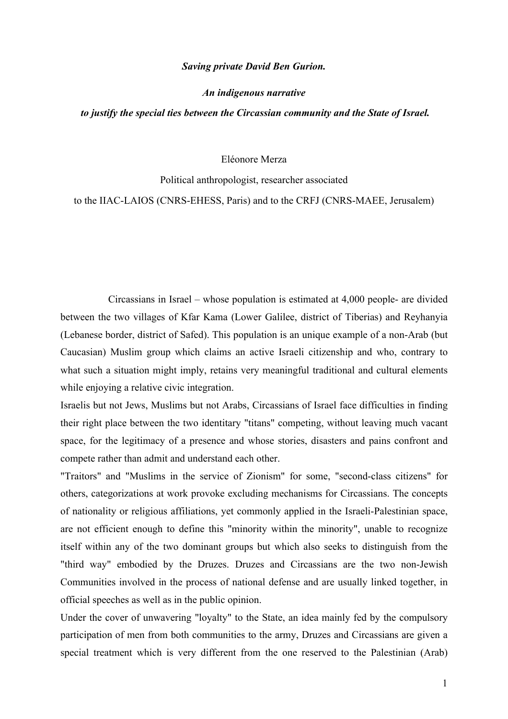## *Saving private David Ben Gurion.*

## *An indigenous narrative*

## *to justify the special ties between the Circassian community and the State of Israel.*

## Eléonore Merza

#### Political anthropologist, researcher associated

# to the IIAC-LAIOS (CNRS-EHESS, Paris) and to the CRFJ (CNRS-MAEE, Jerusalem)

Circassians in Israel – whose population is estimated at 4,000 people- are divided between the two villages of Kfar Kama (Lower Galilee, district of Tiberias) and Reyhanyia (Lebanese border, district of Safed). This population is an unique example of a non-Arab (but Caucasian) Muslim group which claims an active Israeli citizenship and who, contrary to what such a situation might imply, retains very meaningful traditional and cultural elements while enjoying a relative civic integration.

Israelis but not Jews, Muslims but not Arabs, Circassians of Israel face difficulties in finding their right place between the two identitary "titans" competing, without leaving much vacant space, for the legitimacy of a presence and whose stories, disasters and pains confront and compete rather than admit and understand each other.

"Traitors" and "Muslims in the service of Zionism" for some, "second-class citizens" for others, categorizations at work provoke excluding mechanisms for Circassians. The concepts of nationality or religious affiliations, yet commonly applied in the Israeli-Palestinian space, are not efficient enough to define this "minority within the minority", unable to recognize itself within any of the two dominant groups but which also seeks to distinguish from the "third way" embodied by the Druzes. Druzes and Circassians are the two non-Jewish Communities involved in the process of national defense and are usually linked together, in official speeches as well as in the public opinion.

Under the cover of unwavering "loyalty" to the State, an idea mainly fed by the compulsory participation of men from both communities to the army, Druzes and Circassians are given a special treatment which is very different from the one reserved to the Palestinian (Arab)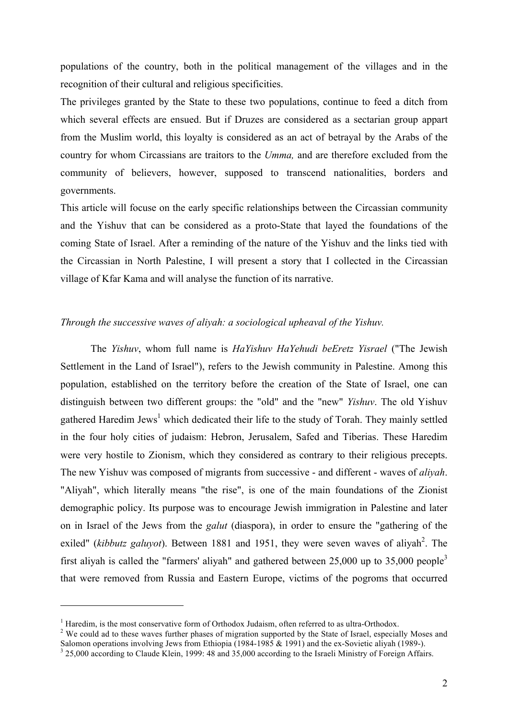populations of the country, both in the political management of the villages and in the recognition of their cultural and religious specificities.

The privileges granted by the State to these two populations, continue to feed a ditch from which several effects are ensued. But if Druzes are considered as a sectarian group appart from the Muslim world, this loyalty is considered as an act of betrayal by the Arabs of the country for whom Circassians are traitors to the *Umma,* and are therefore excluded from the community of believers, however, supposed to transcend nationalities, borders and governments.

This article will focuse on the early specific relationships between the Circassian community and the Yishuv that can be considered as a proto-State that layed the foundations of the coming State of Israel. After a reminding of the nature of the Yishuv and the links tied with the Circassian in North Palestine, I will present a story that I collected in the Circassian village of Kfar Kama and will analyse the function of its narrative.

# *Through the successive waves of aliyah: a sociological upheaval of the Yishuv.*

The *Yishuv*, whom full name is *HaYishuv HaYehudi beEretz Yisrael* ("The Jewish Settlement in the Land of Israel"), refers to the Jewish community in Palestine. Among this population, established on the territory before the creation of the State of Israel, one can distinguish between two different groups: the "old" and the "new" *Yishuv*. The old Yishuv gathered Haredim Jews<sup>1</sup> which dedicated their life to the study of Torah. They mainly settled in the four holy cities of judaism: Hebron, Jerusalem, Safed and Tiberias. These Haredim were very hostile to Zionism, which they considered as contrary to their religious precepts. The new Yishuv was composed of migrants from successive - and different - waves of *aliyah*. "Aliyah", which literally means "the rise", is one of the main foundations of the Zionist demographic policy. Its purpose was to encourage Jewish immigration in Palestine and later on in Israel of the Jews from the *galut* (diaspora), in order to ensure the "gathering of the exiled" (*kibbutz galuyot*). Between 1881 and 1951, they were seven waves of aliyah<sup>2</sup>. The first aliyah is called the "farmers' aliyah" and gathered between  $25,000$  up to  $35,000$  people<sup>3</sup> that were removed from Russia and Eastern Europe, victims of the pogroms that occurred

<sup>&</sup>lt;sup>1</sup> Haredim, is the most conservative form of Orthodox Judaism, often referred to as ultra-Orthodox.<br><sup>2</sup> We could ad to those waves further phases of migration supported by the State of Israel, especies

<sup>&</sup>lt;sup>2</sup> We could ad to these waves further phases of migration supported by the State of Israel, especially Moses and Salomon operations involving Jews from Ethiopia (1984-1985 & 1991) and the ex-Sovietic aliyah (1989-).

 $3$  25,000 according to Claude Klein, 1999: 48 and 35,000 according to the Israeli Ministry of Foreign Affairs.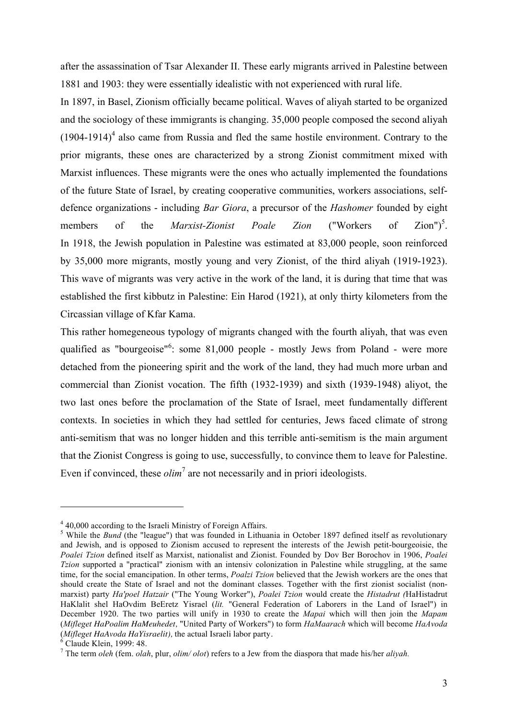after the assassination of Tsar Alexander II. These early migrants arrived in Palestine between 1881 and 1903: they were essentially idealistic with not experienced with rural life.

In 1897, in Basel, Zionism officially became political. Waves of aliyah started to be organized and the sociology of these immigrants is changing. 35,000 people composed the second aliyah  $(1904-1914)^4$  also came from Russia and fled the same hostile environment. Contrary to the prior migrants, these ones are characterized by a strong Zionist commitment mixed with Marxist influences. These migrants were the ones who actually implemented the foundations of the future State of Israel, by creating cooperative communities, workers associations, selfdefence organizations - including *Bar Giora*, a precursor of the *Hashomer* founded by eight members of the *Marxist-Zionist Poale Zion* ("Workers of  $Zion")^5$ . In 1918, the Jewish population in Palestine was estimated at 83,000 people, soon reinforced by 35,000 more migrants, mostly young and very Zionist, of the third aliyah (1919-1923). This wave of migrants was very active in the work of the land, it is during that time that was established the first kibbutz in Palestine: Ein Harod (1921), at only thirty kilometers from the Circassian village of Kfar Kama.

This rather homegeneous typology of migrants changed with the fourth aliyah, that was even qualified as "bourgeoise"<sup>6</sup>: some 81,000 people - mostly Jews from Poland - were more detached from the pioneering spirit and the work of the land, they had much more urban and commercial than Zionist vocation. The fifth (1932-1939) and sixth (1939-1948) aliyot, the two last ones before the proclamation of the State of Israel, meet fundamentally different contexts. In societies in which they had settled for centuries, Jews faced climate of strong anti-semitism that was no longer hidden and this terrible anti-semitism is the main argument that the Zionist Congress is going to use, successfully, to convince them to leave for Palestine. Even if convinced, these *olim*<sup>7</sup> are not necessarily and in priori ideologists.

 $^{4}$  40,000 according to the Israeli Ministry of Foreign Affairs.

<sup>&</sup>lt;sup>5</sup> While the *Bund* (the "league") that was founded in Lithuania in October 1897 defined itself as revolutionary and Jewish, and is opposed to Zionism accused to represent the interests of the Jewish petit-bourgeoisie, the *Poalei Tzion* defined itself as Marxist, nationalist and Zionist. Founded by Dov Ber Borochov in 1906, *Poalei Tzion* supported a "practical" zionism with an intensiv colonization in Palestine while struggling, at the same time, for the social emancipation. In other terms, *Poalzi Tzion* believed that the Jewish workers are the ones that should create the State of Israel and not the dominant classes. Together with the first zionist socialist (nonmarxist) party *Ha'poel Hatzair* ("The Young Worker"), *Poalei Tzion* would create the *Histadrut (*HaHistadrut HaKlalit shel HaOvdim BeEretz Yisrael (*lit.* "General Federation of Laborers in the Land of Israel") in December 1920. The two parties will unify in 1930 to create the *Mapai* which will then join the *Mapam* (*Mifleget HaPoalim HaMeuhedet,* "United Party of Workers") to form *HaMaarach* which will become *HaAvoda* (*Mifleget HaAvoda HaYisraelit),* the actual Israeli labor party. <sup>6</sup> Claude Klein, 1999: 48.

<sup>7</sup> The term *oleh* (fem. *olah*, plur, *olim/ olot*) refers to a Jew from the diaspora that made his/her *aliyah.*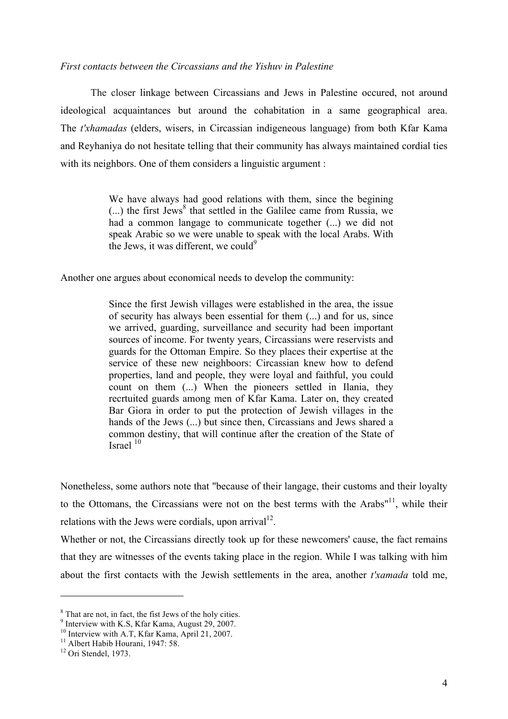# *First contacts between the Circassians and the Yishuv in Palestine*

The closer linkage between Circassians and Jews in Palestine occured, not around ideological acquaintances but around the cohabitation in a same geographical area. The *t'xhamadas* (elders, wisers, in Circassian indigeneous language) from both Kfar Kama and Reyhaniya do not hesitate telling that their community has always maintained cordial ties with its neighbors. One of them considers a linguistic argument :

> We have always had good relations with them, since the begining  $(...)$  the first Jews<sup>8</sup> that settled in the Galilee came from Russia, we had a common langage to communicate together (...) we did not speak Arabic so we were unable to speak with the local Arabs. With the Jews, it was different, we could  $9$

Another one argues about economical needs to develop the community:

Since the first Jewish villages were established in the area, the issue of security has always been essential for them (...) and for us, since we arrived, guarding, surveillance and security had been important sources of income. For twenty years, Circassians were reservists and guards for the Ottoman Empire. So they places their expertise at the service of these new neighboors: Circassian knew how to defend properties, land and people, they were loyal and faithful, you could count on them (...) When the pioneers settled in Ilania, they recrtuited guards among men of Kfar Kama. Later on, they created Bar Giora in order to put the protection of Jewish villages in the hands of the Jews  $(...)$  but since then, Circassians and Jews shared a common destiny, that will continue after the creation of the State of Israel <sup>10</sup>

Nonetheless, some authors note that "because of their langage, their customs and their loyalty to the Ottomans, the Circassians were not on the best terms with the Arabs $11$ , while their relations with the Jews were cordials, upon arrival<sup>12</sup>.

Whether or not, the Circassians directly took up for these newcomers' cause, the fact remains that they are witnesses of the events taking place in the region. While I was talking with him about the first contacts with the Jewish settlements in the area, another *t'xamada* told me,

<sup>&</sup>lt;sup>8</sup> That are not, in fact, the fist Jews of the holy cities.  $^8$  That are not, in fact, the fist Jews of the holy cities.<br><sup>9</sup> Interview with K.S, Kfar Kama, August 29, 2007.

<sup>&</sup>lt;sup>10</sup> Interview with A.T, Kfar Kama, April 21, 2007.

<sup>&</sup>lt;sup>11</sup> Albert Habib Hourani, 1947: 58.

<sup>&</sup>lt;sup>12</sup> Ori Stendel, 1973.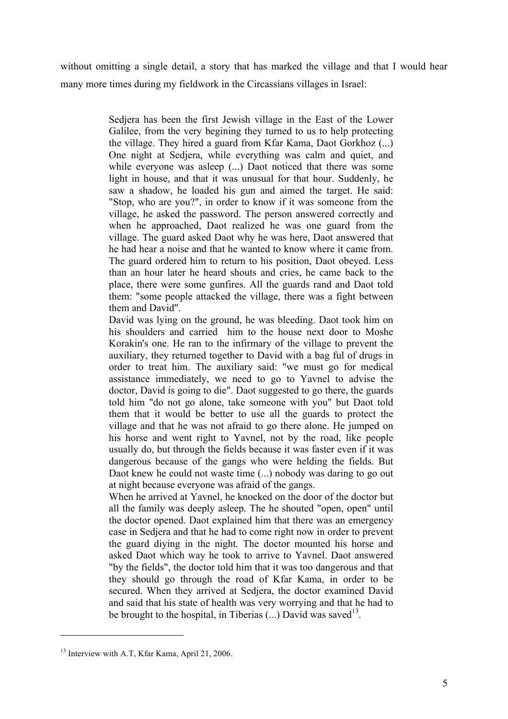without omitting a single detail, a story that has marked the village and that I would hear many more times during my fieldwork in the Circassians villages in Israel:

> Sedjera has been the first Jewish village in the East of the Lower Galilee, from the very begining they turned to us to help protecting the village. They hired a guard from Kfar Kama, Daot Gorkhoz (...) One night at Sedjera, while everything was calm and quiet, and while everyone was asleep (...) Daot noticed that there was some light in house, and that it was unusual for that hour. Suddenly, he saw a shadow, he loaded his gun and aimed the target. He said: "Stop, who are you?", in order to know if it was someone from the village, he asked the password. The person answered correctly and when he approached, Daot realized he was one guard from the village. The guard asked Daot why he was here, Daot answered that he had hear a noise and that he wanted to know where it came from. The guard ordered him to return to his position, Daot obeyed. Less than an hour later he heard shouts and cries, he came back to the place, there were some gunfires. All the guards rand and Daot told them: "some people attacked the village, there was a fight between them and David".

> David was lying on the ground, he was bleeding. Daot took him on his shoulders and carried him to the house next door to Moshe Korakin's one. He ran to the infirmary of the village to prevent the auxiliary, they returned together to David with a bag ful of drugs in order to treat him. The auxiliary said: "we must go for medical assistance immediately, we need to go to Yavnel to advise the doctor, David is going to die". Daot suggested to go there, the guards told him "do not go alone, take someone with you" but Daot told them that it would be better to use all the guards to protect the village and that he was not afraid to go there alone. He jumped on his horse and went right to Yavnel, not by the road, like people usually do, but through the fields because it was faster even if it was dangerous because of the gangs who were helding the fields. But Daot knew he could not waste time (...) nobody was daring to go out at night because everyone was afraid of the gangs.

> When he arrived at Yavnel, he knocked on the door of the doctor but all the family was deeply asleep. The he shouted "open, open" until the doctor opened. Daot explained him that there was an emergency case in Sedjera and that he had to come right now in order to prevent the guard diying in the night. The doctor mounted his horse and asked Daot which way he took to arrive to Yavnel. Daot answered "by the fields", the doctor told him that it was too dangerous and that they should go through the road of Kfar Kama, in order to be secured. When they arrived at Sedjera, the doctor examined David and said that his state of health was very worrying and that he had to be brought to the hospital, in Tiberias  $(...)$  David was saved<sup>13</sup>.

<sup>&</sup>lt;sup>13</sup> Interview with A.T. Kfar Kama, April 21, 2006.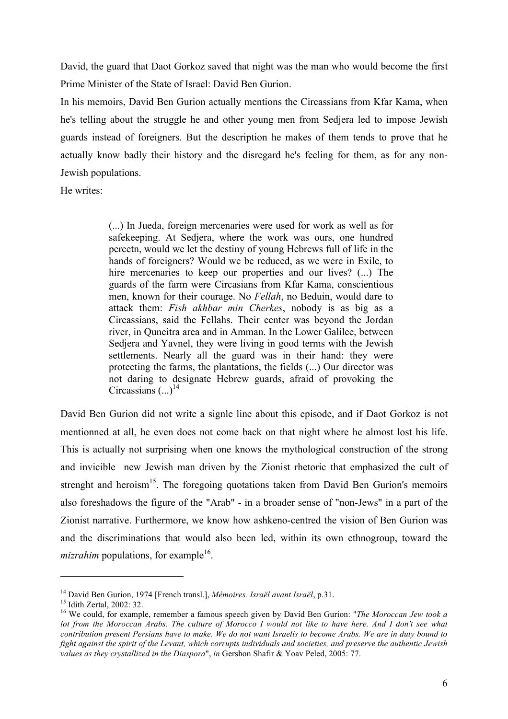David, the guard that Daot Gorkoz saved that night was the man who would become the first Prime Minister of the State of Israel: David Ben Gurion.

In his memoirs, David Ben Gurion actually mentions the Circassians from Kfar Kama, when he's telling about the struggle he and other young men from Sedjera led to impose Jewish guards instead of foreigners. But the description he makes of them tends to prove that he actually know badly their history and the disregard he's feeling for them, as for any non-Jewish populations.

He writes:

(...) In Jueda, foreign mercenaries were used for work as well as for safekeeping. At Sedjera, where the work was ours, one hundred percetn, would we let the destiny of young Hebrews full of life in the hands of foreigners? Would we be reduced, as we were in Exile, to hire mercenaries to keep our properties and our lives? (...) The guards of the farm were Circasians from Kfar Kama, conscientious men, known for their courage. No *Fellah*, no Beduin, would dare to attack them: *Fish akhbar min Cherkes*, nobody is as big as a Circassians, said the Fellahs. Their center was beyond the Jordan river, in Quneitra area and in Amman. In the Lower Galilee, between Sedjera and Yavnel, they were living in good terms with the Jewish settlements. Nearly all the guard was in their hand: they were protecting the farms, the plantations, the fields (...) Our director was not daring to designate Hebrew guards, afraid of provoking the Circassians  $(\,\ldots)^{14}$ 

David Ben Gurion did not write a signle line about this episode, and if Daot Gorkoz is not mentionned at all, he even does not come back on that night where he almost lost his life. This is actually not surprising when one knows the mythological construction of the strong and invicible new Jewish man driven by the Zionist rhetoric that emphasized the cult of strenght and heroism<sup>15</sup>. The foregoing quotations taken from David Ben Gurion's memoirs also foreshadows the figure of the "Arab" - in a broader sense of "non-Jews" in a part of the Zionist narrative. Furthermore, we know how ashkeno-centred the vision of Ben Gurion was and the discriminations that would also been led, within its own ethnogroup, toward the *mizrahim* populations, for example<sup>16</sup>.

<sup>&</sup>lt;sup>14</sup> David Ben Gurion, 1974 [French transl.], *Mémoires. Israël avant Israël*, p.31.<br><sup>15</sup> Idith Zertal, 2002: 32.<br><sup>16</sup> We could, for example, remember a famous speech given by David Ben Gurion: "*The Moroccan Jew took a lot from the Moroccan Arabs. The culture of Morocco I would not like to have here. And I don't see what contribution present Persians have to make. We do not want Israelis to become Arabs. We are in duty bound to fight against the spirit of the Levant, which corrupts individuals and societies, and preserve the authentic Jewish values as they crystallized in the Diaspora*", *in* Gershon Shafir & Yoav Peled, 2005: 77.